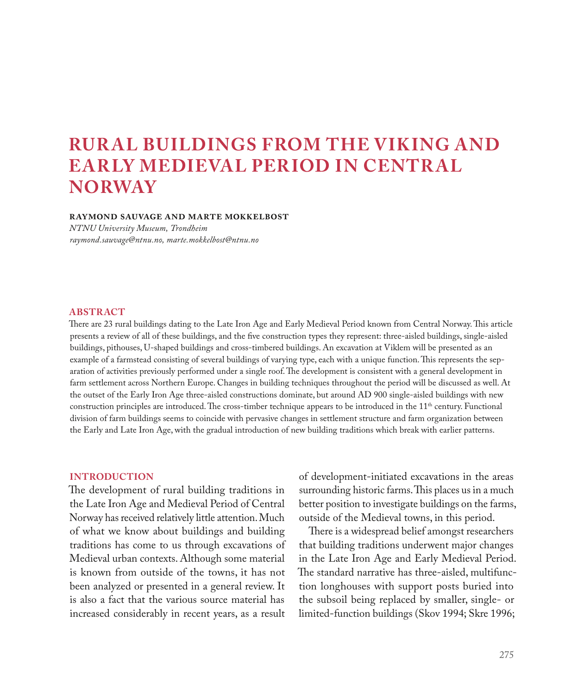# **RURAL BUILDINGS FROM THE VIKING AND EARLY MEDIEVAL PERIOD IN CENTR AL NORWAY**

#### **Raymond Sauvage and Marte Mokkelbost**

*NTNU University Museum, Trondheim raymond.sauvage@ntnu.no, marte.mokkelbost@ntnu.no*

### **ABSTRACT**

There are 23 rural buildings dating to the Late Iron Age and Early Medieval Period known from Central Norway. This article presents a review of all of these buildings, and the five construction types they represent: three-aisled buildings, single-aisled buildings, pithouses, U-shaped buildings and cross-timbered buildings. An excavation at Viklem will be presented as an example of a farmstead consisting of several buildings of varying type, each with a unique function. This represents the separation of activities previously performed under a single roof. The development is consistent with a general development in farm settlement across Northern Europe. Changes in building techniques throughout the period will be discussed as well. At the outset of the Early Iron Age three-aisled constructions dominate, but around AD 900 single-aisled buildings with new construction principles are introduced. The cross-timber technique appears to be introduced in the  $11<sup>th</sup>$  century. Functional division of farm buildings seems to coincide with pervasive changes in settlement structure and farm organization between the Early and Late Iron Age, with the gradual introduction of new building traditions which break with earlier patterns.

#### **INTRODUCTION**

The development of rural building traditions in the Late Iron Age and Medieval Period of Central Norway has received relatively little attention. Much of what we know about buildings and building traditions has come to us through excavations of Medieval urban contexts. Although some material is known from outside of the towns, it has not been analyzed or presented in a general review. It is also a fact that the various source material has increased considerably in recent years, as a result of development-initiated excavations in the areas surrounding historic farms. This places us in a much better position to investigate buildings on the farms, outside of the Medieval towns, in this period.

There is a widespread belief amongst researchers that building traditions underwent major changes in the Late Iron Age and Early Medieval Period. The standard narrative has three-aisled, multifunction longhouses with support posts buried into the subsoil being replaced by smaller, single- or limited-function buildings (Skov 1994; Skre 1996;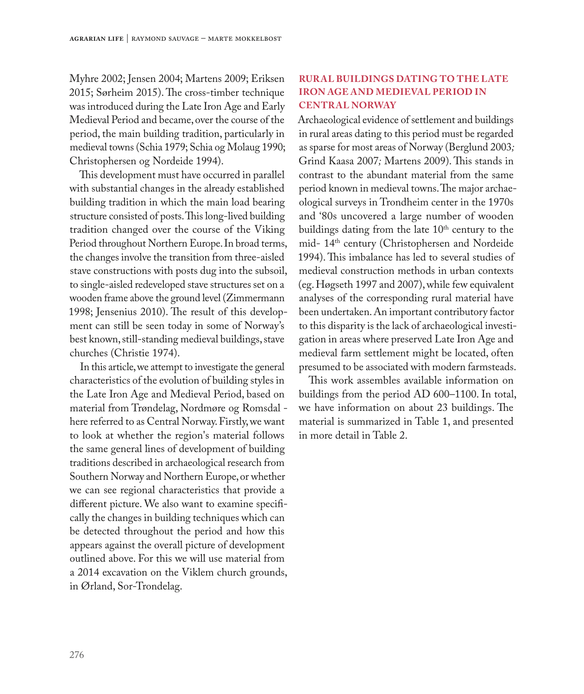Myhre 2002; Jensen 2004; Martens 2009; Eriksen 2015; Sørheim 2015). The cross-timber technique was introduced during the Late Iron Age and Early Medieval Period and became, over the course of the period, the main building tradition, particularly in medieval towns (Schia 1979; Schia og Molaug 1990; Christophersen og Nordeide 1994).

This development must have occurred in parallel with substantial changes in the already established building tradition in which the main load bearing structure consisted of posts. This long-lived building tradition changed over the course of the Viking Period throughout Northern Europe. In broad terms, the changes involve the transition from three-aisled stave constructions with posts dug into the subsoil, to single-aisled redeveloped stave structures set on a wooden frame above the ground level (Zimmermann 1998; Jensenius 2010). The result of this development can still be seen today in some of Norway's best known, still-standing medieval buildings, stave churches (Christie 1974).

In this article, we attempt to investigate the general characteristics of the evolution of building styles in the Late Iron Age and Medieval Period, based on material from Trøndelag, Nordmøre og Romsdal here referred to as Central Norway. Firstly, we want to look at whether the region's material follows the same general lines of development of building traditions described in archaeological research from Southern Norway and Northern Europe, or whether we can see regional characteristics that provide a different picture. We also want to examine specifically the changes in building techniques which can be detected throughout the period and how this appears against the overall picture of development outlined above. For this we will use material from a 2014 excavation on the Viklem church grounds, in Ørland, Sor-Trondelag.

## **RURAL BUILDINGS DATING TO THE LATE IRON AGE AND MEDIEVAL PERIOD IN CENTRAL NORWAY**

Archaeological evidence of settlement and buildings in rural areas dating to this period must be regarded as sparse for most areas of Norway (Berglund 2003*;* Grind Kaasa 2007*;* Martens 2009). This stands in contrast to the abundant material from the same period known in medieval towns. The major archaeological surveys in Trondheim center in the 1970s and '80s uncovered a large number of wooden buildings dating from the late  $10<sup>th</sup>$  century to the mid- 14th century (Christophersen and Nordeide 1994). This imbalance has led to several studies of medieval construction methods in urban contexts (eg. Høgseth 1997 and 2007), while few equivalent analyses of the corresponding rural material have been undertaken. An important contributory factor to this disparity is the lack of archaeological investigation in areas where preserved Late Iron Age and medieval farm settlement might be located, often presumed to be associated with modern farmsteads.

This work assembles available information on buildings from the period AD 600–1100. In total, we have information on about 23 buildings. The material is summarized in Table 1, and presented in more detail in Table 2.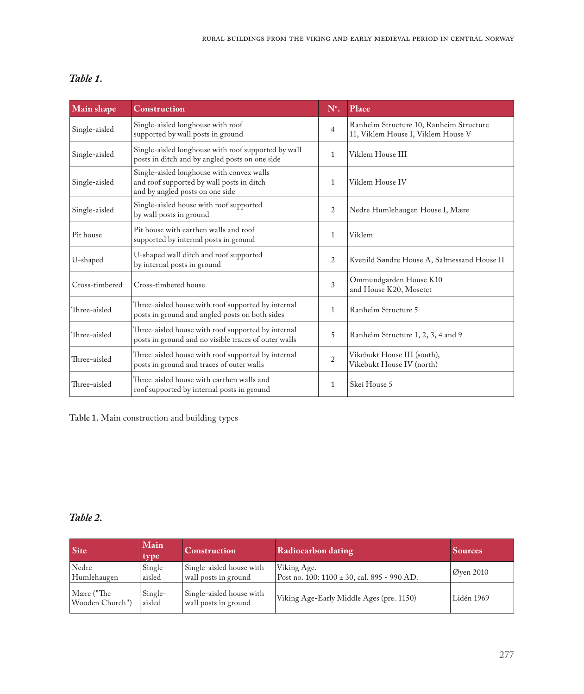# *Table 1.*

| Main shape     | Construction                                                                                                              | $N^{\circ}$ .  | Place                                                                         |
|----------------|---------------------------------------------------------------------------------------------------------------------------|----------------|-------------------------------------------------------------------------------|
| Single-aisled  | Single-aisled longhouse with roof<br>supported by wall posts in ground                                                    | $\overline{4}$ | Ranheim Structure 10, Ranheim Structure<br>11, Viklem House I, Viklem House V |
| Single-aisled  | Single-aisled longhouse with roof supported by wall<br>posts in ditch and by angled posts on one side                     | $\mathbf{1}$   | Viklem House III                                                              |
| Single-aisled  | Single-aisled longhouse with convex walls<br>and roof supported by wall posts in ditch<br>and by angled posts on one side | $\mathbf{1}$   | Viklem House IV                                                               |
| Single-aisled  | Single-aisled house with roof supported<br>by wall posts in ground                                                        | $\overline{2}$ | Nedre Humlehaugen House I, Mære                                               |
| Pit house      | Pit house with earthen walls and roof<br>supported by internal posts in ground                                            | $\mathbf{1}$   | Viklem                                                                        |
| U-shaped       | U-shaped wall ditch and roof supported<br>by internal posts in ground                                                     | 2              | Kvenild Søndre House A, Saltnessand House II                                  |
| Cross-timbered | Cross-timbered house                                                                                                      | 3              | Ommundgarden House K10<br>and House K20, Mosetet                              |
| Three-aisled   | Three-aisled house with roof supported by internal<br>posts in ground and angled posts on both sides                      | $\mathbf{1}$   | Ranheim Structure 5                                                           |
| Three-aisled   | Three-aisled house with roof supported by internal<br>posts in ground and no visible traces of outer walls                | 5              | Ranheim Structure 1, 2, 3, 4 and 9                                            |
| Three-aisled   | Three-aisled house with roof supported by internal<br>posts in ground and traces of outer walls                           | $\overline{2}$ | Vikebukt House III (south),<br>Vikebukt House IV (north)                      |
| Three-aisled   | Three-aisled house with earthen walls and<br>roof supported by internal posts in ground                                   | $\mathbf{1}$   | Skei House 5                                                                  |

**Table 1.** Main construction and building types

# *Table 2.*

| <b>Site</b>                   | Main<br>type        | <b>Construction</b>                              | <b>Radiocarbon dating</b>                                  | <b>Sources</b>         |
|-------------------------------|---------------------|--------------------------------------------------|------------------------------------------------------------|------------------------|
| Nedre<br>Humlehaugen          | Single-<br>aisled   | Single-aisled house with<br>wall posts in ground | Viking Age.<br>Post no. 100: 1100 ± 30, cal. 895 - 990 AD. | $\varnothing$ yen 2010 |
| Mære ("The<br>Wooden Church") | Single-<br>  aisled | Single-aisled house with<br>wall posts in ground | Viking Age-Early Middle Ages (pre. 1150)                   | Lidén 1969             |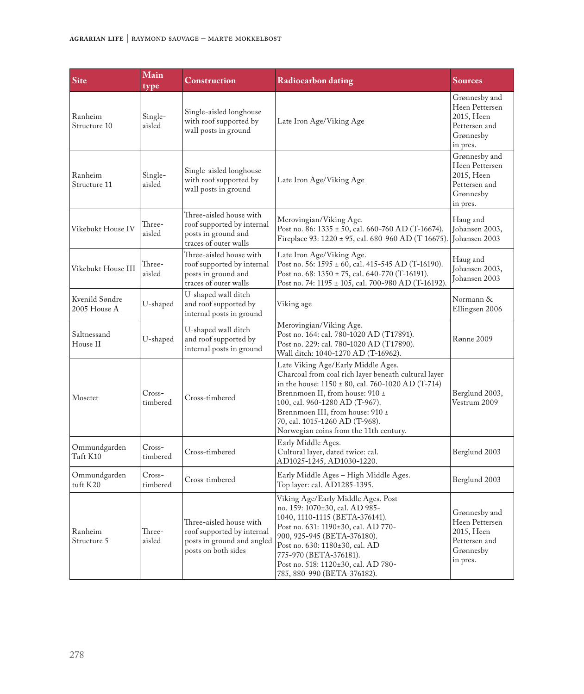| <b>Site</b>                    | Main<br>type       | Construction                                                                                               | <b>Radiocarbon dating</b>                                                                                                                                                                                                                                                                                                            | <b>Sources</b>                                                                          |
|--------------------------------|--------------------|------------------------------------------------------------------------------------------------------------|--------------------------------------------------------------------------------------------------------------------------------------------------------------------------------------------------------------------------------------------------------------------------------------------------------------------------------------|-----------------------------------------------------------------------------------------|
| Ranheim<br>Structure 10        | Single-<br>aisled  | Single-aisled longhouse<br>with roof supported by<br>wall posts in ground                                  | Late Iron Age/Viking Age                                                                                                                                                                                                                                                                                                             | Grønnesby and<br>Heen Pettersen<br>2015, Heen<br>Pettersen and<br>Grønnesby<br>in pres. |
| Ranheim<br>Structure 11        | Single-<br>aisled  | Single-aisled longhouse<br>with roof supported by<br>wall posts in ground                                  | Late Iron Age/Viking Age                                                                                                                                                                                                                                                                                                             | Grønnesby and<br>Heen Pettersen<br>2015, Heen<br>Pettersen and<br>Grønnesby<br>in pres. |
| Vikebukt House IV              | Three-<br>aisled   | Three-aisled house with<br>roof supported by internal<br>posts in ground and<br>traces of outer walls      | Merovingian/Viking Age.<br>Post no. 86: 1335 ± 50, cal. 660-760 AD (T-16674).<br>Fireplace 93: 1220 ± 95, cal. 680-960 AD (T-16675)                                                                                                                                                                                                  | Haug and<br>Johansen 2003,<br>Johansen 2003                                             |
| Vikebukt House III             | Three-<br>aisled   | Three-aisled house with<br>roof supported by internal<br>posts in ground and<br>traces of outer walls      | Late Iron Age/Viking Age.<br>Post no. 56: 1595 ± 60, cal. 415-545 AD (T-16190).<br>Post no. 68: 1350 ± 75, cal. 640-770 (T-16191).<br>Post no. 74: 1195 ± 105, cal. 700-980 AD (T-16192)                                                                                                                                             | Haug and<br>Johansen 2003,<br>Johansen 2003                                             |
| Kvenild Søndre<br>2005 House A | U-shaped           | U-shaped wall ditch<br>and roof supported by<br>internal posts in ground                                   | Viking age                                                                                                                                                                                                                                                                                                                           | Normann &<br>Ellingsen 2006                                                             |
| Saltnessand<br>House II        | U-shaped           | U-shaped wall ditch<br>and roof supported by<br>internal posts in ground                                   | Merovingian/Viking Age.<br>Post no. 164: cal. 780-1020 AD (T17891).<br>Post no. 229: cal. 780-1020 AD (T17890).<br>Wall ditch: 1040-1270 AD (T-16962).                                                                                                                                                                               | Rønne 2009                                                                              |
| Mosetet                        | Cross-<br>timbered | Cross-timbered                                                                                             | Late Viking Age/Early Middle Ages.<br>Charcoal from coal rich layer beneath cultural layer<br>in the house: 1150 ± 80, cal. 760-1020 AD (T-714)<br>Brennmoen II, from house: 910 ±<br>100, cal. 960-1280 AD (T-967).<br>Brennmoen III, from house: 910 ±<br>70, cal. 1015-1260 AD (T-968).<br>Norwegian coins from the 11th century. | Berglund 2003,<br>Vestrum 2009                                                          |
| Ommundgarden<br>Tuft K10       | Cross-<br>timbered | Cross-timbered                                                                                             | Early Middle Ages.<br>Cultural layer, dated twice: cal.<br>AD1025-1245, AD1030-1220.                                                                                                                                                                                                                                                 | Berglund 2003                                                                           |
| Ommundgarden<br>tuft K20       | Cross-<br>timbered | Cross-timbered                                                                                             | Early Middle Ages - High Middle Ages.<br>Top layer: cal. AD1285-1395.                                                                                                                                                                                                                                                                | Berglund 2003                                                                           |
| Ranheim<br>Structure 5         | Three-<br>aisled   | Three-aisled house with<br>roof supported by internal<br>posts in ground and angled<br>posts on both sides | Viking Age/Early Middle Ages. Post<br>no. 159: 1070±30, cal. AD 985-<br>1040, 1110-1115 (BETA-376141).<br>Post no. 631: 1190±30, cal. AD 770-<br>900, 925-945 (BETA-376180).<br>Post no. 630: 1180±30, cal. AD<br>775-970 (BETA-376181).<br>Post no. 518: 1120±30, cal. AD 780-<br>785, 880-990 (BETA-376182).                       | Grønnesby and<br>Heen Pettersen<br>2015, Heen<br>Pettersen and<br>Grønnesby<br>in pres. |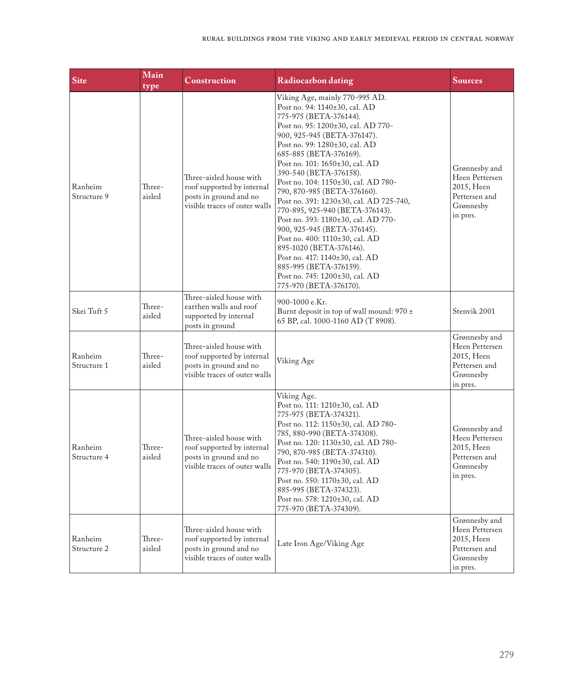### Rural buildings from the Viking and early Medieval period in Central Norway

| <b>Site</b>            | Main<br>type     | Construction                                                                                                     | <b>Radiocarbon dating</b>                                                                                                                                                                                                                                                                                                                                                                                                                                                                                                                                                                                                                                                                            | Sources                                                                                 |
|------------------------|------------------|------------------------------------------------------------------------------------------------------------------|------------------------------------------------------------------------------------------------------------------------------------------------------------------------------------------------------------------------------------------------------------------------------------------------------------------------------------------------------------------------------------------------------------------------------------------------------------------------------------------------------------------------------------------------------------------------------------------------------------------------------------------------------------------------------------------------------|-----------------------------------------------------------------------------------------|
| Ranheim<br>Structure 9 | Three-<br>aisled | Three-aisled house with<br>roof supported by internal<br>posts in ground and no<br>visible traces of outer walls | Viking Age, mainly 770-995 AD.<br>Post no. 94: 1140±30, cal. AD<br>775-975 (BETA-376144).<br>Post no. 95: 1200±30, cal. AD 770-<br>900, 925-945 (BETA-376147).<br>Post no. 99: 1280±30, cal. AD<br>685-885 (BETA-376169).<br>Post no. 101: 1650±30, cal. AD<br>390-540 (BETA-376158).<br>Post no. 104: 1150±30, cal. AD 780-<br>790, 870-985 (BETA-376160).<br>Post no. 391: 1230±30, cal. AD 725-740,<br>770-895, 925-940 (BETA-376143).<br>Post no. 393: 1180±30, cal. AD 770-<br>900, 925-945 (BETA-376145).<br>Post no. 400: 1110±30, cal. AD<br>895-1020 (BETA-376146).<br>Post no. 417: 1140±30, cal. AD<br>885-995 (BETA-376159).<br>Post no. 745: 1200±30, cal. AD<br>775-970 (BETA-376170). | Grønnesby and<br>Heen Pettersen<br>2015, Heen<br>Pettersen and<br>Grønnesby<br>in pres. |
| Skei Tuft 5            | Three-<br>aisled | Three-aisled house with<br>earthen walls and roof<br>supported by internal<br>posts in ground                    | 900-1000 e.Kr.<br>Burnt deposit in top of wall mound: 970 ±<br>65 BP, cal. 1000-1160 AD (T 8908).                                                                                                                                                                                                                                                                                                                                                                                                                                                                                                                                                                                                    | Stenvik 2001                                                                            |
| Ranheim<br>Structure 1 | Three-<br>aisled | Three-aisled house with<br>roof supported by internal<br>posts in ground and no<br>visible traces of outer walls | Viking Age                                                                                                                                                                                                                                                                                                                                                                                                                                                                                                                                                                                                                                                                                           | Grønnesby and<br>Heen Pettersen<br>2015. Heen<br>Pettersen and<br>Grønnesby<br>in pres. |
| Ranheim<br>Structure 4 | Three-<br>aisled | Three-aisled house with<br>roof supported by internal<br>posts in ground and no<br>visible traces of outer walls | Viking Age.<br>Post no. 111: 1210±30, cal. AD<br>775-975 (BETA-374321).<br>Post no. 112: 1150±30, cal. AD 780-<br>785, 880-990 (BETA-374308).<br>Post no. 120: 1130±30, cal. AD 780-<br>790, 870-985 (BETA-374310).<br>Post no. 540: 1190±30, cal. AD<br>775-970 (BETA-374305).<br>Post no. 550: 1170±30, cal. AD<br>885-995 (BETA-374323).<br>Post no. 578: 1210±30, cal. AD<br>775-970 (BETA-374309).                                                                                                                                                                                                                                                                                              | Grønnesby and<br>Heen Pettersen<br>2015, Heen<br>Pettersen and<br>Grønnesby<br>in pres. |
| Ranheim<br>Structure 2 | Three-<br>aisled | Three-aisled house with<br>roof supported by internal<br>posts in ground and no<br>visible traces of outer walls | Late Iron Age/Viking Age                                                                                                                                                                                                                                                                                                                                                                                                                                                                                                                                                                                                                                                                             | Grønnesby and<br>Heen Pettersen<br>2015, Heen<br>Pettersen and<br>Grønnesby<br>in pres. |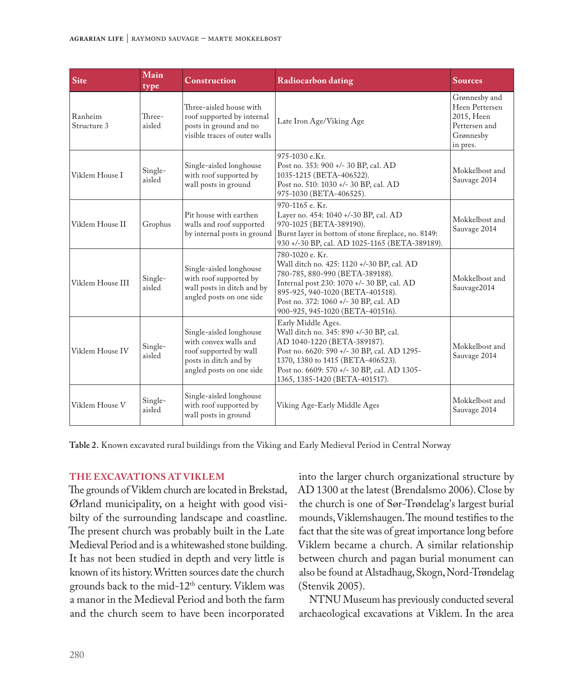| <b>Site</b>            | Main<br>type      | <b>Construction</b>                                                                                                             | <b>Radiocarbon dating</b>                                                                                                                                                                                                                                        | <b>Sources</b>                                                                          |
|------------------------|-------------------|---------------------------------------------------------------------------------------------------------------------------------|------------------------------------------------------------------------------------------------------------------------------------------------------------------------------------------------------------------------------------------------------------------|-----------------------------------------------------------------------------------------|
| Ranheim<br>Structure 3 | Three-<br>aisled  | Three-aisled house with<br>roof supported by internal<br>posts in ground and no<br>visible traces of outer walls                | Late Iron Age/Viking Age                                                                                                                                                                                                                                         | Grønnesby and<br>Heen Pettersen<br>2015, Heen<br>Pettersen and<br>Grønnesby<br>in pres. |
| Viklem House I         | Single-<br>aisled | Single-aisled longhouse<br>with roof supported by<br>wall posts in ground                                                       | 975-1030 e.Kr.<br>Post no. 353: 900 +/- 30 BP, cal. AD<br>1035-1215 (BETA-406522).<br>Post no. 510: 1030 +/- 30 BP, cal. AD<br>975-1030 (BETA-406525).                                                                                                           | Mokkelbost and<br>Sauvage 2014                                                          |
| Viklem House II        | Grophus           | Pit house with earthen<br>walls and roof supported<br>by internal posts in ground                                               | 970-1165 e. Kr.<br>Layer no. 454: 1040 +/-30 BP, cal. AD<br>970-1025 (BETA-389190).<br>Burnt layer in bottom of stone fireplace, no. 8149:<br>930 +/-30 BP, cal. AD 1025-1165 (BETA-389189).                                                                     | Mokkelbost and<br>Sauvage 2014                                                          |
| Viklem House III       | Single-<br>aisled | Single-aisled longhouse<br>with roof supported by<br>wall posts in ditch and by<br>angled posts on one side                     | 780-1020 e. Kr.<br>Wall ditch no. 425: 1120 +/-30 BP, cal. AD<br>780-785, 880-990 (BETA-389188).<br>Internal post 230: 1070 +/- 30 BP, cal. AD<br>895-925, 940-1020 (BETA-401518).<br>Post no. 372: 1060 +/- 30 BP, cal. AD<br>900-925, 945-1020 (BETA-401516).  | Mokkelbost and<br>Sauvage2014                                                           |
| Viklem House IV        | Single-<br>aisled | Single-aisled longhouse<br>with convex walls and<br>roof supported by wall<br>posts in ditch and by<br>angled posts on one side | Early Middle Ages.<br>Wall ditch no. 345: 890 +/-30 BP, cal.<br>AD 1040-1220 (BETA-389187).<br>Post no. 6620: 590 +/- 30 BP, cal. AD 1295-<br>1370, 1380 to 1415 (BETA-406523).<br>Post no. 6609: 570 +/- 30 BP, cal. AD 1305-<br>1365, 1385-1420 (BETA-401517). | Mokkelbost and<br>Sauvage 2014                                                          |
| Viklem House V         | Single-<br>aisled | Single-aisled longhouse<br>with roof supported by<br>wall posts in ground                                                       | Viking Age-Early Middle Ages                                                                                                                                                                                                                                     | Mokkelbost and<br>Sauvage 2014                                                          |

**Table 2.** Known excavated rural buildings from the Viking and Early Medieval Period in Central Norway

## **THE EXCAVATIONS AT VIKLEM**

The grounds of Viklem church are located in Brekstad, Ørland municipality, on a height with good visibilty of the surrounding landscape and coastline. The present church was probably built in the Late Medieval Period and is a whitewashed stone building. It has not been studied in depth and very little is known of its history. Written sources date the church grounds back to the mid- $12<sup>th</sup>$  century. Viklem was a manor in the Medieval Period and both the farm and the church seem to have been incorporated

into the larger church organizational structure by AD 1300 at the latest (Brendalsmo 2006). Close by the church is one of Sør-Trøndelag's largest burial mounds, Viklemshaugen. The mound testifies to the fact that the site was of great importance long before Viklem became a church. A similar relationship between church and pagan burial monument can also be found at Alstadhaug, Skogn, Nord-Trøndelag (Stenvik 2005).

NTNU Museum has previously conducted several archaeological excavations at Viklem. In the area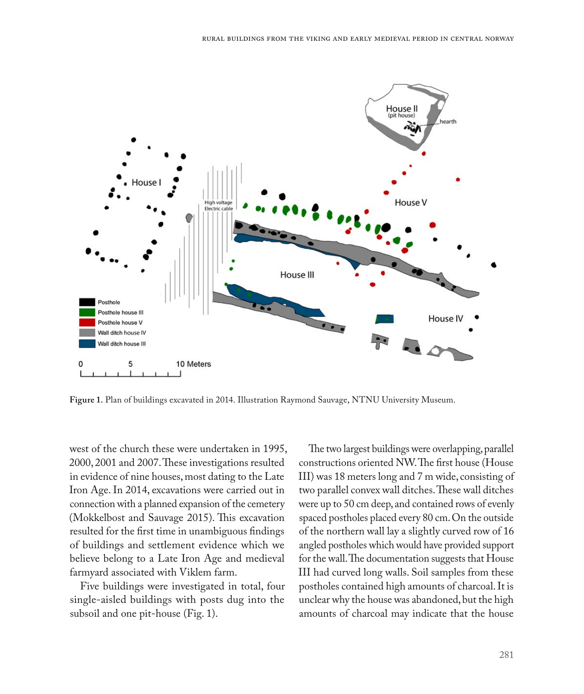

**Figure 1.** Plan of buildings excavated in 2014. Illustration Raymond Sauvage, NTNU University Museum.

west of the church these were undertaken in 1995, 2000, 2001 and 2007. These investigations resulted in evidence of nine houses, most dating to the Late Iron Age. In 2014, excavations were carried out in connection with a planned expansion of the cemetery (Mokkelbost and Sauvage 2015). This excavation resulted for the first time in unambiguous findings of buildings and settlement evidence which we believe belong to a Late Iron Age and medieval farmyard associated with Viklem farm.

Five buildings were investigated in total, four single-aisled buildings with posts dug into the subsoil and one pit-house (Fig. 1).

The two largest buildings were overlapping, parallel constructions oriented NW. The first house (House III) was 18 meters long and 7 m wide, consisting of two parallel convex wall ditches. These wall ditches were up to 50 cm deep, and contained rows of evenly spaced postholes placed every 80 cm. On the outside of the northern wall lay a slightly curved row of 16 angled postholes which would have provided support for the wall. The documentation suggests that House III had curved long walls. Soil samples from these postholes contained high amounts of charcoal. It is unclear why the house was abandoned, but the high amounts of charcoal may indicate that the house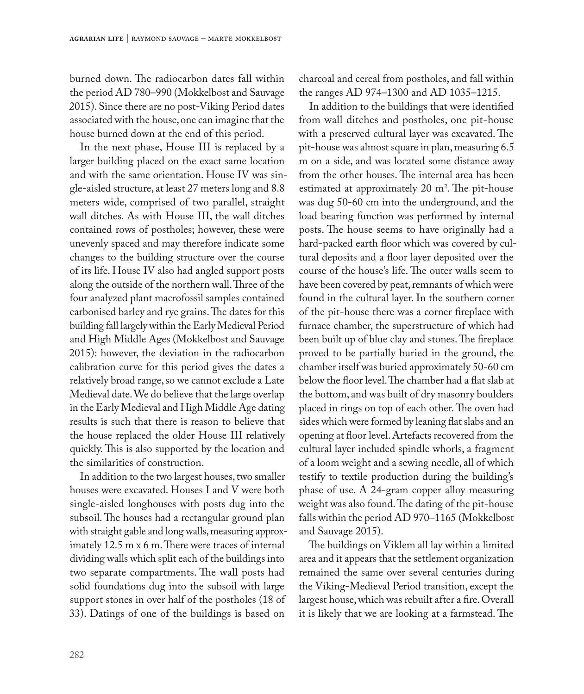burned down. The radiocarbon dates fall within the period AD 780–990 (Mokkelbost and Sauvage 2015). Since there are no post-Viking Period dates associated with the house, one can imagine that the house burned down at the end of this period.

In the next phase, House III is replaced by a larger building placed on the exact same location and with the same orientation. House IV was single-aisled structure, at least 27 meters long and 8.8 meters wide, comprised of two parallel, straight wall ditches. As with House III, the wall ditches contained rows of postholes; however, these were unevenly spaced and may therefore indicate some changes to the building structure over the course of its life. House IV also had angled support posts along the outside of the northern wall. Three of the four analyzed plant macrofossil samples contained carbonised barley and rye grains. The dates for this building fall largely within the Early Medieval Period and High Middle Ages (Mokkelbost and Sauvage 2015): however, the deviation in the radiocarbon calibration curve for this period gives the dates a relatively broad range, so we cannot exclude a Late Medieval date. We do believe that the large overlap in the Early Medieval and High Middle Age dating results is such that there is reason to believe that the house replaced the older House III relatively quickly. This is also supported by the location and the similarities of construction.

In addition to the two largest houses, two smaller houses were excavated. Houses I and V were both single-aisled longhouses with posts dug into the subsoil. The houses had a rectangular ground plan with straight gable and long walls, measuring approximately 12.5 m x 6 m. There were traces of internal dividing walls which split each of the buildings into two separate compartments. The wall posts had solid foundations dug into the subsoil with large support stones in over half of the postholes (18 of 33). Datings of one of the buildings is based on

charcoal and cereal from postholes, and fall within the ranges AD 974–1300 and AD 1035–1215.

In addition to the buildings that were identified from wall ditches and postholes, one pit-house with a preserved cultural layer was excavated. The pit-house was almost square in plan, measuring 6.5 m on a side, and was located some distance away from the other houses. The internal area has been estimated at approximately  $20 \text{ m}^2$ . The pit-house was dug 50-60 cm into the underground, and the load bearing function was performed by internal posts. The house seems to have originally had a hard-packed earth floor which was covered by cultural deposits and a floor layer deposited over the course of the house's life. The outer walls seem to have been covered by peat, remnants of which were found in the cultural layer. In the southern corner of the pit-house there was a corner fireplace with furnace chamber, the superstructure of which had been built up of blue clay and stones. The fireplace proved to be partially buried in the ground, the chamber itself was buried approximately 50-60 cm below the floor level. The chamber had a flat slab at the bottom, and was built of dry masonry boulders placed in rings on top of each other. The oven had sides which were formed by leaning flat slabs and an opening at floor level. Artefacts recovered from the cultural layer included spindle whorls, a fragment of a loom weight and a sewing needle, all of which testify to textile production during the building's phase of use. A 24-gram copper alloy measuring weight was also found. The dating of the pit-house falls within the period AD 970–1165 (Mokkelbost and Sauvage 2015).

The buildings on Viklem all lay within a limited area and it appears that the settlement organization remained the same over several centuries during the Viking-Medieval Period transition, except the largest house, which was rebuilt after a fire. Overall it is likely that we are looking at a farmstead. The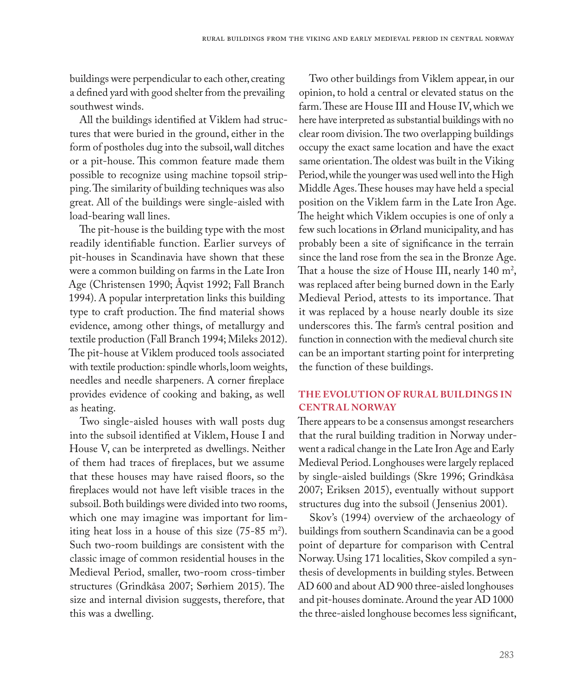buildings were perpendicular to each other, creating a defined yard with good shelter from the prevailing southwest winds.

All the buildings identified at Viklem had structures that were buried in the ground, either in the form of postholes dug into the subsoil, wall ditches or a pit-house. This common feature made them possible to recognize using machine topsoil stripping. The similarity of building techniques was also great. All of the buildings were single-aisled with load-bearing wall lines.

The pit-house is the building type with the most readily identifiable function. Earlier surveys of pit-houses in Scandinavia have shown that these were a common building on farms in the Late Iron Age (Christensen 1990; Åqvist 1992; Fall Branch 1994). A popular interpretation links this building type to craft production. The find material shows evidence, among other things, of metallurgy and textile production (Fall Branch 1994; Mileks 2012). The pit-house at Viklem produced tools associated with textile production: spindle whorls, loom weights, needles and needle sharpeners. A corner fireplace provides evidence of cooking and baking, as well as heating.

Two single-aisled houses with wall posts dug into the subsoil identified at Viklem, House I and House V, can be interpreted as dwellings. Neither of them had traces of fireplaces, but we assume that these houses may have raised floors, so the fireplaces would not have left visible traces in the subsoil. Both buildings were divided into two rooms, which one may imagine was important for limiting heat loss in a house of this size  $(75-85 \text{ m}^2)$ . Such two-room buildings are consistent with the classic image of common residential houses in the Medieval Period, smaller, two-room cross-timber structures (Grindkåsa 2007; Sørhiem 2015). The size and internal division suggests, therefore, that this was a dwelling.

Two other buildings from Viklem appear, in our opinion, to hold a central or elevated status on the farm. These are House III and House IV, which we here have interpreted as substantial buildings with no clear room division. The two overlapping buildings occupy the exact same location and have the exact same orientation. The oldest was built in the Viking Period, while the younger was used well into the High Middle Ages. These houses may have held a special position on the Viklem farm in the Late Iron Age. The height which Viklem occupies is one of only a few such locations in Ørland municipality, and has probably been a site of significance in the terrain since the land rose from the sea in the Bronze Age. That a house the size of House III, nearly 140  $\text{m}^2$ , was replaced after being burned down in the Early Medieval Period, attests to its importance. That it was replaced by a house nearly double its size underscores this. The farm's central position and function in connection with the medieval church site can be an important starting point for interpreting the function of these buildings.

## **THE EVOLUTION OF RURAL BUILDINGS IN CENTRAL NORWAY**

There appears to be a consensus amongst researchers that the rural building tradition in Norway underwent a radical change in the Late Iron Age and Early Medieval Period. Longhouses were largely replaced by single-aisled buildings (Skre 1996; Grindkåsa 2007; Eriksen 2015), eventually without support structures dug into the subsoil ( Jensenius 2001).

Skov's (1994) overview of the archaeology of buildings from southern Scandinavia can be a good point of departure for comparison with Central Norway. Using 171 localities, Skov compiled a synthesis of developments in building styles. Between AD 600 and about AD 900 three-aisled longhouses and pit-houses dominate. Around the year AD 1000 the three-aisled longhouse becomes less significant,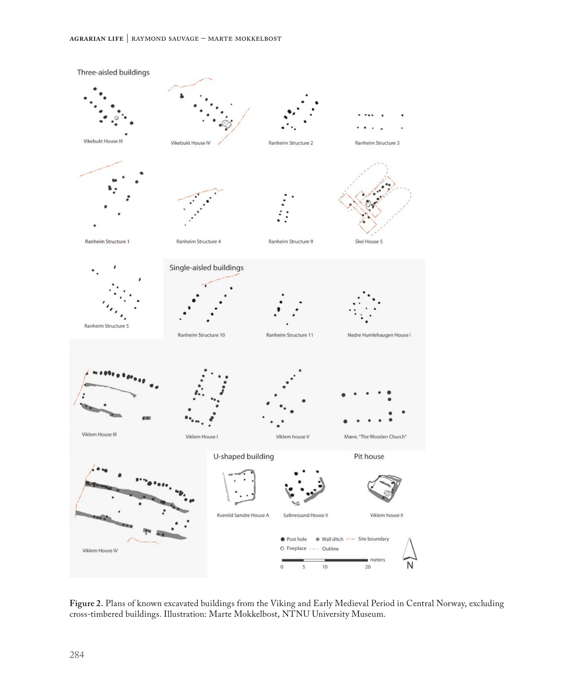

**Figure 2.** Plans of known excavated buildings from the Viking and Early Medieval Period in Central Norway, excluding cross-timbered buildings. Illustration: Marte Mokkelbost, NTNU University Museum.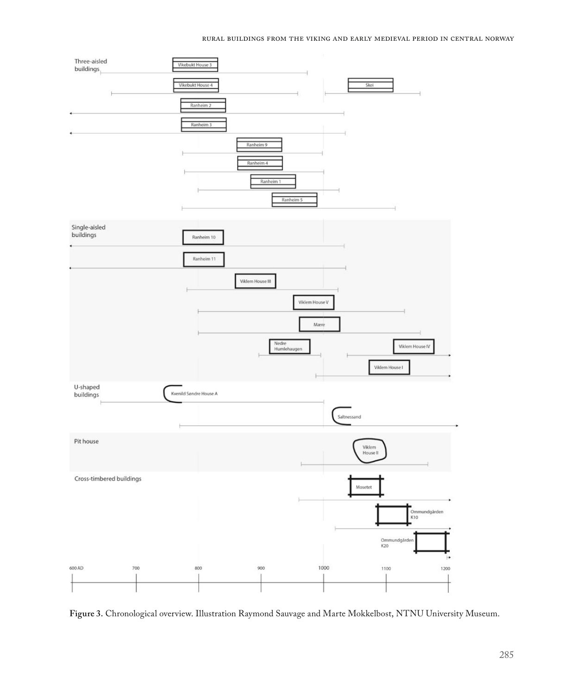

**Figure 3.** Chronological overview. Illustration Raymond Sauvage and Marte Mokkelbost, NTNU University Museum.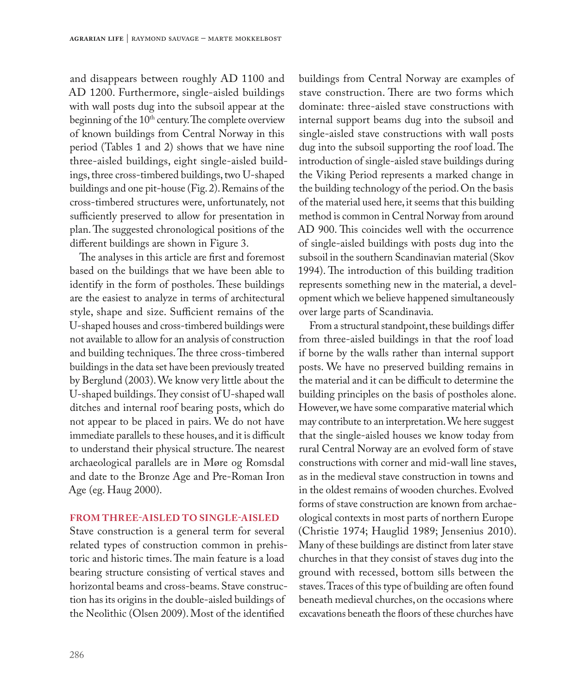and disappears between roughly AD 1100 and AD 1200. Furthermore, single-aisled buildings with wall posts dug into the subsoil appear at the beginning of the  $10<sup>th</sup>$  century. The complete overview of known buildings from Central Norway in this period (Tables 1 and 2) shows that we have nine three-aisled buildings, eight single-aisled buildings, three cross-timbered buildings, two U-shaped buildings and one pit-house (Fig. 2). Remains of the cross-timbered structures were, unfortunately, not sufficiently preserved to allow for presentation in plan. The suggested chronological positions of the different buildings are shown in Figure 3.

The analyses in this article are first and foremost based on the buildings that we have been able to identify in the form of postholes. These buildings are the easiest to analyze in terms of architectural style, shape and size. Sufficient remains of the U-shaped houses and cross-timbered buildings were not available to allow for an analysis of construction and building techniques. The three cross-timbered buildings in the data set have been previously treated by Berglund (2003). We know very little about the U-shaped buildings. They consist of U-shaped wall ditches and internal roof bearing posts, which do not appear to be placed in pairs. We do not have immediate parallels to these houses, and it is difficult to understand their physical structure. The nearest archaeological parallels are in Møre og Romsdal and date to the Bronze Age and Pre-Roman Iron Age (eg. Haug 2000).

### **FROM THREE-AISLED TO SINGLE-AISLED**

Stave construction is a general term for several related types of construction common in prehistoric and historic times. The main feature is a load bearing structure consisting of vertical staves and horizontal beams and cross-beams. Stave construction has its origins in the double-aisled buildings of the Neolithic (Olsen 2009). Most of the identified

buildings from Central Norway are examples of stave construction. There are two forms which dominate: three-aisled stave constructions with internal support beams dug into the subsoil and single-aisled stave constructions with wall posts dug into the subsoil supporting the roof load. The introduction of single-aisled stave buildings during the Viking Period represents a marked change in the building technology of the period. On the basis of the material used here, it seems that this building method is common in Central Norway from around AD 900. This coincides well with the occurrence of single-aisled buildings with posts dug into the subsoil in the southern Scandinavian material (Skov 1994). The introduction of this building tradition represents something new in the material, a development which we believe happened simultaneously over large parts of Scandinavia.

From a structural standpoint, these buildings differ from three-aisled buildings in that the roof load if borne by the walls rather than internal support posts. We have no preserved building remains in the material and it can be difficult to determine the building principles on the basis of postholes alone. However, we have some comparative material which may contribute to an interpretation. We here suggest that the single-aisled houses we know today from rural Central Norway are an evolved form of stave constructions with corner and mid-wall line staves, as in the medieval stave construction in towns and in the oldest remains of wooden churches. Evolved forms of stave construction are known from archaeological contexts in most parts of northern Europe (Christie 1974; Hauglid 1989; Jensenius 2010). Many of these buildings are distinct from later stave churches in that they consist of staves dug into the ground with recessed, bottom sills between the staves. Traces of this type of building are often found beneath medieval churches, on the occasions where excavations beneath the floors of these churches have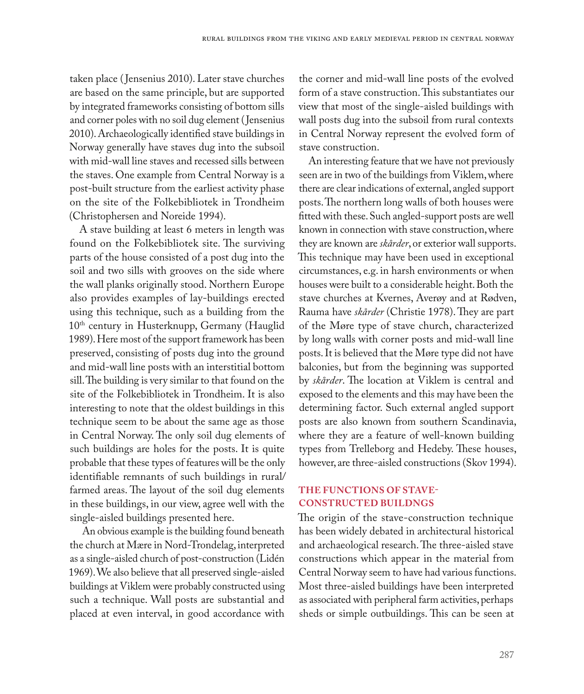taken place ( Jensenius 2010). Later stave churches are based on the same principle, but are supported by integrated frameworks consisting of bottom sills and corner poles with no soil dug element (Jensenius 2010). Archaeologically identified stave buildings in Norway generally have staves dug into the subsoil with mid-wall line staves and recessed sills between the staves. One example from Central Norway is a post-built structure from the earliest activity phase on the site of the Folkebibliotek in Trondheim (Christophersen and Noreide 1994).

A stave building at least 6 meters in length was found on the Folkebibliotek site. The surviving parts of the house consisted of a post dug into the soil and two sills with grooves on the side where the wall planks originally stood. Northern Europe also provides examples of lay-buildings erected using this technique, such as a building from the 10th century in Husterknupp, Germany (Hauglid 1989). Here most of the support framework has been preserved, consisting of posts dug into the ground and mid-wall line posts with an interstitial bottom sill. The building is very similar to that found on the site of the Folkebibliotek in Trondheim. It is also interesting to note that the oldest buildings in this technique seem to be about the same age as those in Central Norway. The only soil dug elements of such buildings are holes for the posts. It is quite probable that these types of features will be the only identifiable remnants of such buildings in rural/ farmed areas. The layout of the soil dug elements in these buildings, in our view, agree well with the single-aisled buildings presented here.

 An obvious example is the building found beneath the church at Mære in Nord-Trondelag, interpreted as a single-aisled church of post-construction (Lidén 1969). We also believe that all preserved single-aisled buildings at Viklem were probably constructed using such a technique. Wall posts are substantial and placed at even interval, in good accordance with

the corner and mid-wall line posts of the evolved form of a stave construction. This substantiates our view that most of the single-aisled buildings with wall posts dug into the subsoil from rural contexts in Central Norway represent the evolved form of stave construction.

An interesting feature that we have not previously seen are in two of the buildings from Viklem, where there are clear indications of external, angled support posts. The northern long walls of both houses were fitted with these. Such angled-support posts are well known in connection with stave construction, where they are known are *skårder*, or exterior wall supports. This technique may have been used in exceptional circumstances, e.g. in harsh environments or when houses were built to a considerable height. Both the stave churches at Kvernes, Averøy and at Rødven, Rauma have *skårder* (Christie 1978). They are part of the Møre type of stave church, characterized by long walls with corner posts and mid-wall line posts. It is believed that the Møre type did not have balconies, but from the beginning was supported by *skårder*. The location at Viklem is central and exposed to the elements and this may have been the determining factor. Such external angled support posts are also known from southern Scandinavia, where they are a feature of well-known building types from Trelleborg and Hedeby. These houses, however, are three-aisled constructions (Skov 1994).

## **THE FUNCTIONS OF STAVE-CONSTRUCTED BUILDNGS**

The origin of the stave-construction technique has been widely debated in architectural historical and archaeological research. The three-aisled stave constructions which appear in the material from Central Norway seem to have had various functions. Most three-aisled buildings have been interpreted as associated with peripheral farm activities, perhaps sheds or simple outbuildings. This can be seen at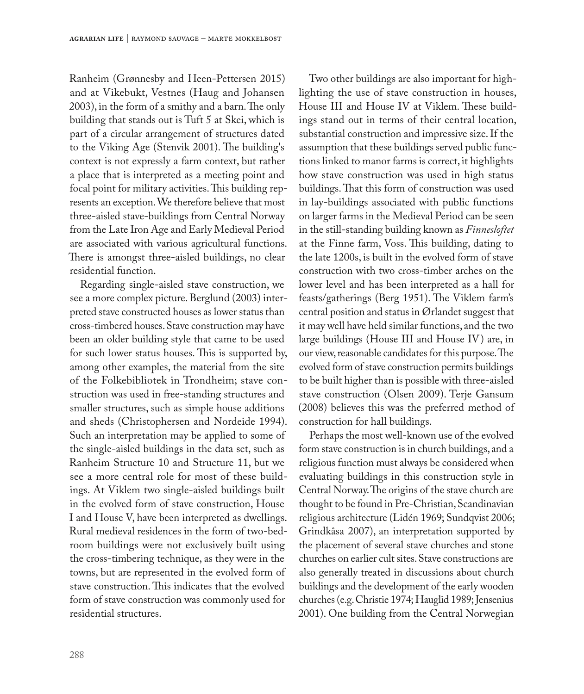Ranheim (Grønnesby and Heen-Pettersen 2015) and at Vikebukt, Vestnes (Haug and Johansen 2003), in the form of a smithy and a barn. The only building that stands out is Tuft 5 at Skei, which is part of a circular arrangement of structures dated to the Viking Age (Stenvik 2001). The building's context is not expressly a farm context, but rather a place that is interpreted as a meeting point and focal point for military activities. This building represents an exception. We therefore believe that most three-aisled stave-buildings from Central Norway from the Late Iron Age and Early Medieval Period are associated with various agricultural functions. There is amongst three-aisled buildings, no clear residential function.

Regarding single-aisled stave construction, we see a more complex picture. Berglund (2003) interpreted stave constructed houses as lower status than cross-timbered houses. Stave construction may have been an older building style that came to be used for such lower status houses. This is supported by, among other examples, the material from the site of the Folkebibliotek in Trondheim; stave construction was used in free-standing structures and smaller structures, such as simple house additions and sheds (Christophersen and Nordeide 1994). Such an interpretation may be applied to some of the single-aisled buildings in the data set, such as Ranheim Structure 10 and Structure 11, but we see a more central role for most of these buildings. At Viklem two single-aisled buildings built in the evolved form of stave construction, House I and House V, have been interpreted as dwellings. Rural medieval residences in the form of two-bedroom buildings were not exclusively built using the cross-timbering technique, as they were in the towns, but are represented in the evolved form of stave construction. This indicates that the evolved form of stave construction was commonly used for residential structures.

Two other buildings are also important for highlighting the use of stave construction in houses, House III and House IV at Viklem. These buildings stand out in terms of their central location, substantial construction and impressive size. If the assumption that these buildings served public functions linked to manor farms is correct, it highlights how stave construction was used in high status buildings. That this form of construction was used in lay-buildings associated with public functions on larger farms in the Medieval Period can be seen in the still-standing building known as *Finnesloftet* at the Finne farm, Voss. This building, dating to the late 1200s, is built in the evolved form of stave construction with two cross-timber arches on the lower level and has been interpreted as a hall for feasts/gatherings (Berg 1951). The Viklem farm's central position and status in Ørlandet suggest that it may well have held similar functions, and the two large buildings (House III and House IV) are, in our view, reasonable candidates for this purpose. The evolved form of stave construction permits buildings to be built higher than is possible with three-aisled stave construction (Olsen 2009). Terje Gansum (2008) believes this was the preferred method of construction for hall buildings.

Perhaps the most well-known use of the evolved form stave construction is in church buildings, and a religious function must always be considered when evaluating buildings in this construction style in Central Norway. The origins of the stave church are thought to be found in Pre-Christian, Scandinavian religious architecture (Lidén 1969; Sundqvist 2006; Grindkåsa 2007), an interpretation supported by the placement of several stave churches and stone churches on earlier cult sites. Stave constructions are also generally treated in discussions about church buildings and the development of the early wooden churches (e.g. Christie 1974; Hauglid 1989; Jensenius 2001). One building from the Central Norwegian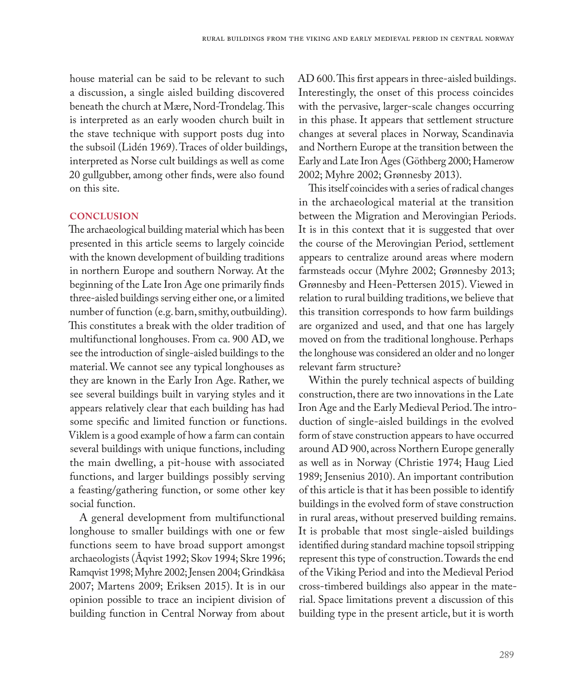house material can be said to be relevant to such a discussion, a single aisled building discovered beneath the church at Mære, Nord-Trondelag. This is interpreted as an early wooden church built in the stave technique with support posts dug into the subsoil (Lidén 1969). Traces of older buildings, interpreted as Norse cult buildings as well as come 20 gullgubber, among other finds, were also found on this site.

## **CONCLUSION**

The archaeological building material which has been presented in this article seems to largely coincide with the known development of building traditions in northern Europe and southern Norway. At the beginning of the Late Iron Age one primarily finds three-aisled buildings serving either one, or a limited number of function (e.g. barn, smithy, outbuilding). This constitutes a break with the older tradition of multifunctional longhouses. From ca. 900 AD, we see the introduction of single-aisled buildings to the material. We cannot see any typical longhouses as they are known in the Early Iron Age. Rather, we see several buildings built in varying styles and it appears relatively clear that each building has had some specific and limited function or functions. Viklem is a good example of how a farm can contain several buildings with unique functions, including the main dwelling, a pit-house with associated functions, and larger buildings possibly serving a feasting/gathering function, or some other key social function.

A general development from multifunctional longhouse to smaller buildings with one or few functions seem to have broad support amongst archaeologists (Åqvist 1992; Skov 1994; Skre 1996; Ramqvist 1998; Myhre 2002; Jensen 2004; Grindkåsa 2007; Martens 2009; Eriksen 2015). It is in our opinion possible to trace an incipient division of building function in Central Norway from about AD 600. This first appears in three-aisled buildings. Interestingly, the onset of this process coincides with the pervasive, larger-scale changes occurring in this phase. It appears that settlement structure changes at several places in Norway, Scandinavia and Northern Europe at the transition between the Early and Late Iron Ages (Göthberg 2000; Hamerow 2002; Myhre 2002; Grønnesby 2013).

This itself coincides with a series of radical changes in the archaeological material at the transition between the Migration and Merovingian Periods. It is in this context that it is suggested that over the course of the Merovingian Period, settlement appears to centralize around areas where modern farmsteads occur (Myhre 2002; Grønnesby 2013; Grønnesby and Heen-Pettersen 2015). Viewed in relation to rural building traditions, we believe that this transition corresponds to how farm buildings are organized and used, and that one has largely moved on from the traditional longhouse. Perhaps the longhouse was considered an older and no longer relevant farm structure?

Within the purely technical aspects of building construction, there are two innovations in the Late Iron Age and the Early Medieval Period. The introduction of single-aisled buildings in the evolved form of stave construction appears to have occurred around AD 900, across Northern Europe generally as well as in Norway (Christie 1974; Haug Lied 1989; Jensenius 2010). An important contribution of this article is that it has been possible to identify buildings in the evolved form of stave construction in rural areas, without preserved building remains. It is probable that most single-aisled buildings identified during standard machine topsoil stripping represent this type of construction. Towards the end of the Viking Period and into the Medieval Period cross-timbered buildings also appear in the material. Space limitations prevent a discussion of this building type in the present article, but it is worth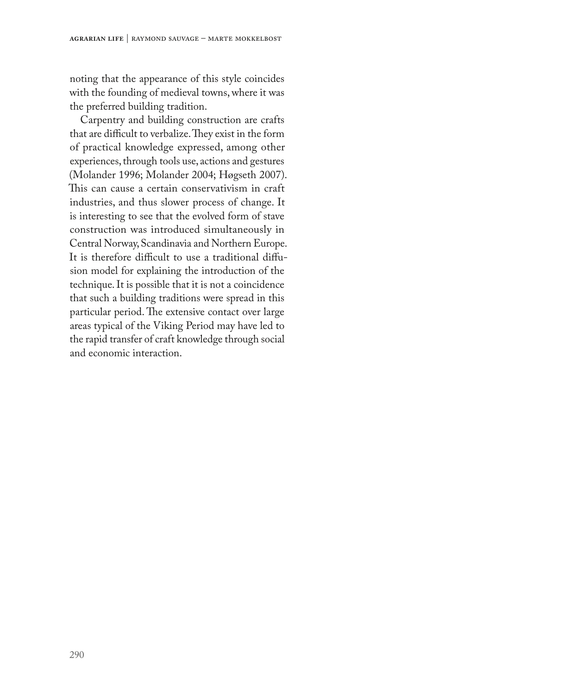noting that the appearance of this style coincides with the founding of medieval towns, where it was the preferred building tradition.

Carpentry and building construction are crafts that are difficult to verbalize. They exist in the form of practical knowledge expressed, among other experiences, through tools use, actions and gestures (Molander 1996; Molander 2004; Høgseth 2007). This can cause a certain conservativism in craft industries, and thus slower process of change. It is interesting to see that the evolved form of stave construction was introduced simultaneously in Central Norway, Scandinavia and Northern Europe. It is therefore difficult to use a traditional diffusion model for explaining the introduction of the technique. It is possible that it is not a coincidence that such a building traditions were spread in this particular period. The extensive contact over large areas typical of the Viking Period may have led to the rapid transfer of craft knowledge through social and economic interaction.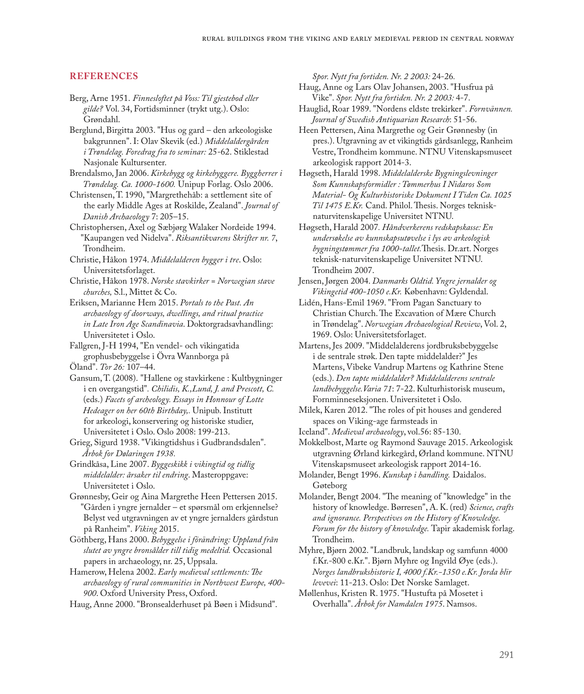#### **REFERENCES**

- Berg, Arne 1951. *Finnesloftet på Voss: Til gjestebod eller gilde?* Vol. 34, Fortidsminner (trykt utg.). Oslo: Grøndahl.
- Berglund, Birgitta 2003. "Hus og gard den arkeologiske bakgrunnen". I: Olav Skevik (ed.) *Middelaldergården i Trøndelag. Foredrag fra to seminar:* 25-62. Stiklestad Nasjonale Kultursenter.
- Brendalsmo, Jan 2006. *Kirkebygg og kirkebyggere. Byggherrer i Trøndelag. Ca. 1000-1600.* Unipup Forlag. Oslo 2006.
- Christensen, T. 1990, "Margrethehåb: a settlement site of the early Middle Ages at Roskilde, Zealand". *Journal of Danish Archaeology* 7: 205–15.
- Christophersen, Axel og Sæbjørg Walaker Nordeide 1994. "Kaupangen ved Nidelva". *Riksantikvarens Skrifter nr. 7*, Trondheim.
- Christie, Håkon 1974. *Middelalderen bygger i tre*. Oslo: Universitetsforlaget.
- Christie, Håkon 1978. *Norske stavkirker = Norwegian stave churches,* S.l., Mittet & Co.
- Eriksen, Marianne Hem 2015. *Portals to the Past. An archaeology of doorways, dwellings, and ritual practice in Late Iron Age Scandinavia*. Doktorgradsavhandling: Universitetet i Oslo.
- Fallgren, J-H 1994, "En vendel- och vikingatida grophusbebyggelse i Övra Wannborga på
- Öland". *Tor 26:* 107–44.
- Gansum, T. (2008). "Hallene og stavkirkene : Kultbygninger i en overgangstid"*. Chilidis, K.,Lund, J. and Prescott, C.*  (eds.) *Facets of archeology. Essays in Honnour of Lotte Hedeager on her 60th Birthday,.* Unipub. Institutt for arkeologi, konservering og historiske studier, Universitetet i Oslo. Oslo 2008: 199-213.
- Grieg, Sigurd 1938. "Vikingtidshus i Gudbrandsdalen". *Årbok for Dølaringen 1938.*
- Grindkåsa, Line 2007. *Byggeskikk i vikingtid og tidlig middelalder: årsaker til endring*. Masteroppgave: Universitetet i Oslo.
- Grønnesby, Geir og Aina Margrethe Heen Pettersen 2015. "Gården i yngre jernalder – et spørsmål om erkjennelse? Belyst ved utgravningen av et yngre jernalders gårdstun på Ranheim". *Viking* 2015.
- Göthberg, Hans 2000. *Bebyggelse i förändring: Uppland från slutet av yngre bronsålder till tidig medeltid.* Occasional papers in archaeology, nr. 25, Uppsala.
- Hamerow, Helena 2002. *Early medieval settlements: The archaeology of rural communities in Northwest Europe, 400- 900*. Oxford University Press, Oxford.
- Haug, Anne 2000. "Bronsealderhuset på Bøen i Midsund".

*Spor. Nytt fra fortiden. Nr. 2 2003:* 24-26*.*

- Haug, Anne og Lars Olav Johansen, 2003. "Husfrua på Vike". *Spor. Nytt fra fortiden. Nr. 2 2003:* 4-7.
- Hauglid, Roar 1989. "Nordens eldste trekirker". *Fornvännen. Journal of Swedish Antiquarian Research*: 51-56.
- Heen Pettersen, Aina Margrethe og Geir Grønnesby (in pres.). Utgravning av et vikingtids gårdsanlegg, Ranheim Vestre, Trondheim kommune. NTNU Vitenskapsmuseet arkeologisk rapport 2014-3.
- Høgseth, Harald 1998. *Middelalderske Bygningslevninger Som Kunnskapsformidler : Tømmerhus I Nidaros Som Material- Og Kulturhistoriske Dokument I Tiden Ca. 1025 Til 1475 E.Kr.* Cand. Philol. Thesis. Norges teknisknaturvitenskapelige Universitet NTNU.
- Høgseth, Harald 2007*. Håndverkerens redskapskasse: En undersøkelse av kunnskapsutøvelse i lys av arkeologisk bygningstømmer fra 1000-tallet.*Thesis. Dr.art. Norges teknisk-naturvitenskapelige Universitet NTNU. Trondheim 2007.
- Jensen, Jørgen 2004. *Danmarks Oldtid. Yngre jernalder og Vikingetid 400-1050 e.Kr.* København: Gyldendal.
- Lidén, Hans-Emil 1969. "From Pagan Sanctuary to Christian Church. The Excavation of Mære Church in Trøndelag". *Norwegian Archaeological Review*, Vol. 2, 1969. Oslo: Universitetsforlaget.
- Martens, Jes 2009. "Middelalderens jordbruksbebyggelse i de sentrale strøk. Den tapte middelalder?" Jes Martens, Vibeke Vandrup Martens og Kathrine Stene (eds.). *Den tapte middelalder? Middelalderens sentrale landbebyggelse.Varia 71*: 7-22. Kulturhistorisk museum, Fornminneseksjonen. Universitetet i Oslo.
- Milek, Karen 2012. "The roles of pit houses and gendered spaces on Viking-age farmsteads in
- Iceland". *Medieval archaeology*, vol.56: 85-130.
- Mokkelbost, Marte og Raymond Sauvage 2015. Arkeologisk utgravning Ørland kirkegård, Ørland kommune. NTNU Vitenskapsmuseet arkeologisk rapport 2014-16.
- Molander, Bengt 1996. *Kunskap i handling.* Daidalos. Gøteborg
- Molander, Bengt 2004. "The meaning of "knowledge" in the history of knowledge. Børresen", A. K. (red) *Science, crafts and ignorance. Perspectives on the History of Knowledge. Forum for the history of knowledge.* Tapir akademisk forlag. Trondheim.
- Myhre, Bjørn 2002. "Landbruk, landskap og samfunn 4000 f.Kr.-800 e.Kr.". Bjørn Myhre og Ingvild Øye (eds.). *Norges landbrukshistorie I, 4000 f.Kr.-1350 e.Kr. Jorda blir levevei*: 11-213. Oslo: Det Norske Samlaget.
- Møllenhus, Kristen R. 1975. "Hustufta på Mosetet i Overhalla". *Årbok for Namdalen 1975*. Namsos.